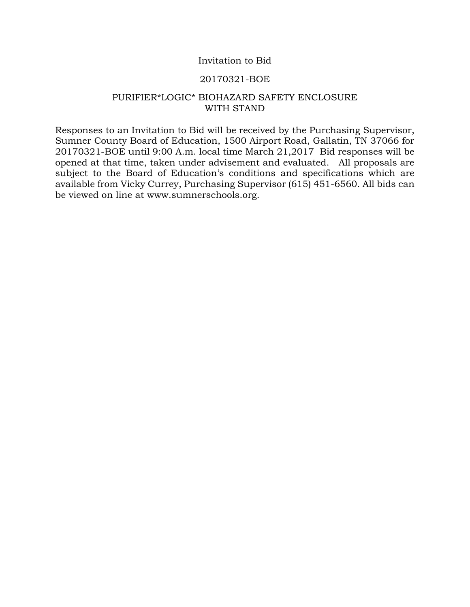# Invitation to Bid

### 20170321-BOE

# PURIFIER\*LOGIC\* BIOHAZARD SAFETY ENCLOSURE WITH STAND

Responses to an Invitation to Bid will be received by the Purchasing Supervisor, Sumner County Board of Education, 1500 Airport Road, Gallatin, TN 37066 for 20170321-BOE until 9:00 A.m. local time March 21,2017 Bid responses will be opened at that time, taken under advisement and evaluated. All proposals are subject to the Board of Education's conditions and specifications which are available from Vicky Currey, Purchasing Supervisor (615) 451-6560. All bids can be viewed on line at www.sumnerschools.org.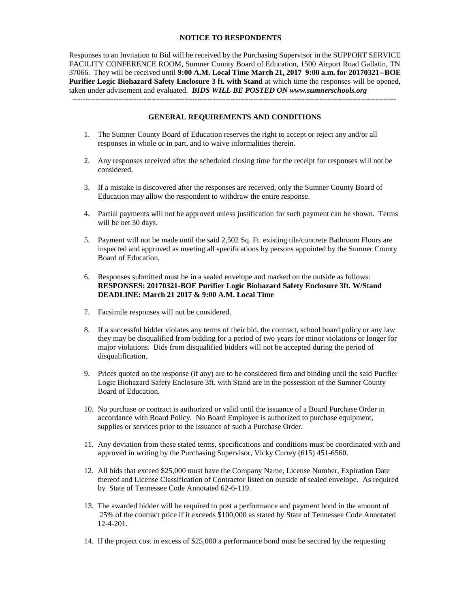#### **NOTICE TO RESPONDENTS**

Responses to an Invitation to Bid will be received by the Purchasing Supervisor in the SUPPORT SERVICE FACILITY CONFERENCE ROOM, Sumner County Board of Education, 1500 Airport Road Gallatin, TN 37066. They will be received until **9:00 A.M. Local Time March 21, 2017 9:00 a.m. for 20170321--BOE Purifier Logic Biohazard Safety Enclosure 3 ft. with Stand** at which time the responses will be opened, taken under advisement and evaluated. *BIDS WILL BE POSTED ON www.sumnerschools.org*

#### **GENERAL REQUIREMENTS AND CONDITIONS**

- 1. The Sumner County Board of Education reserves the right to accept or reject any and/or all responses in whole or in part, and to waive informalities therein.
- 2. Any responses received after the scheduled closing time for the receipt for responses will not be considered.
- 3. If a mistake is discovered after the responses are received, only the Sumner County Board of Education may allow the respondent to withdraw the entire response.
- 4. Partial payments will not be approved unless justification for such payment can be shown. Terms will be net 30 days.
- 5. Payment will not be made until the said 2,502 Sq. Ft. existing tile/concrete Bathroom Floors are inspected and approved as meeting all specifications by persons appointed by the Sumner County Board of Education.
- 6. Responses submitted must be in a sealed envelope and marked on the outside as follows: **RESPONSES: 20170321-BOE Purifier Logic Biohazard Safety Enclosure 3ft. W/Stand DEADLINE: March 21 2017 & 9:00 A.M. Local Time**
- 7. Facsimile responses will not be considered.
- 8. If a successful bidder violates any terms of their bid, the contract, school board policy or any law they may be disqualified from bidding for a period of two years for minor violations or longer for major violations. Bids from disqualified bidders will not be accepted during the period of disqualification.
- 9. Prices quoted on the response (if any) are to be considered firm and binding until the said Purifier Logic Biohazard Safety Enclosure 3ft. with Stand are in the possession of the Sumner County Board of Education.
- 10. No purchase or contract is authorized or valid until the issuance of a Board Purchase Order in accordance with Board Policy. No Board Employee is authorized to purchase equipment, supplies or services prior to the issuance of such a Purchase Order.
- 11. Any deviation from these stated terms, specifications and conditions must be coordinated with and approved in writing by the Purchasing Supervisor, Vicky Currey (615) 451-6560.
- 12. All bids that exceed \$25,000 must have the Company Name, License Number, Expiration Date thereof and License Classification of Contractor listed on outside of sealed envelope. As required by State of Tennessee Code Annotated 62-6-119.
- 13. The awarded bidder will be required to post a performance and payment bond in the amount of 25% of the contract price if it exceeds \$100,000 as stated by State of Tennessee Code Annotated 12-4-201.
- 14. If the project cost in excess of \$25,000 a performance bond must be secured by the requesting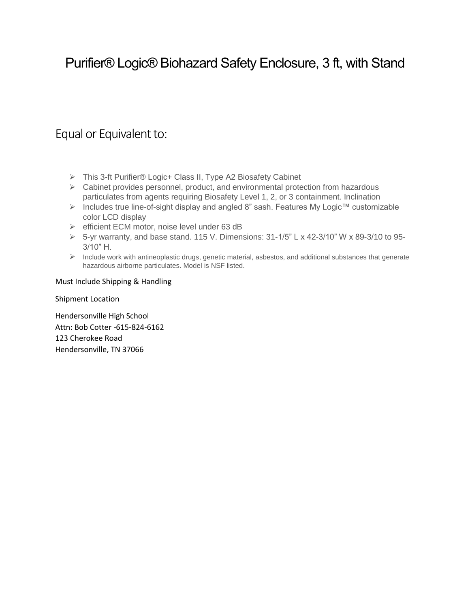# Purifier® Logic® Biohazard Safety Enclosure, 3 ft, with Stand

# Equal or Equivalent to:

- This 3-ft Purifier® Logic+ Class II, Type A2 Biosafety Cabinet
- $\triangleright$  Cabinet provides personnel, product, and environmental protection from hazardous particulates from agents requiring Biosafety Level 1, 2, or 3 containment. Inclination
- Includes true line-of-sight display and angled 8" sash. Features My Logic™ customizable color LCD display
- $\triangleright$  efficient ECM motor, noise level under 63 dB
- $\triangleright$  5-yr warranty, and base stand. 115 V. Dimensions: 31-1/5" L x 42-3/10" W x 89-3/10 to 95-3/10" H.
- $\triangleright$  Include work with antineoplastic drugs, genetic material, asbestos, and additional substances that generate hazardous airborne particulates. Model is NSF listed.

## Must Include Shipping & Handling

Shipment Location

Hendersonville High School Attn: Bob Cotter -615-824-6162 123 Cherokee Road Hendersonville, TN 37066